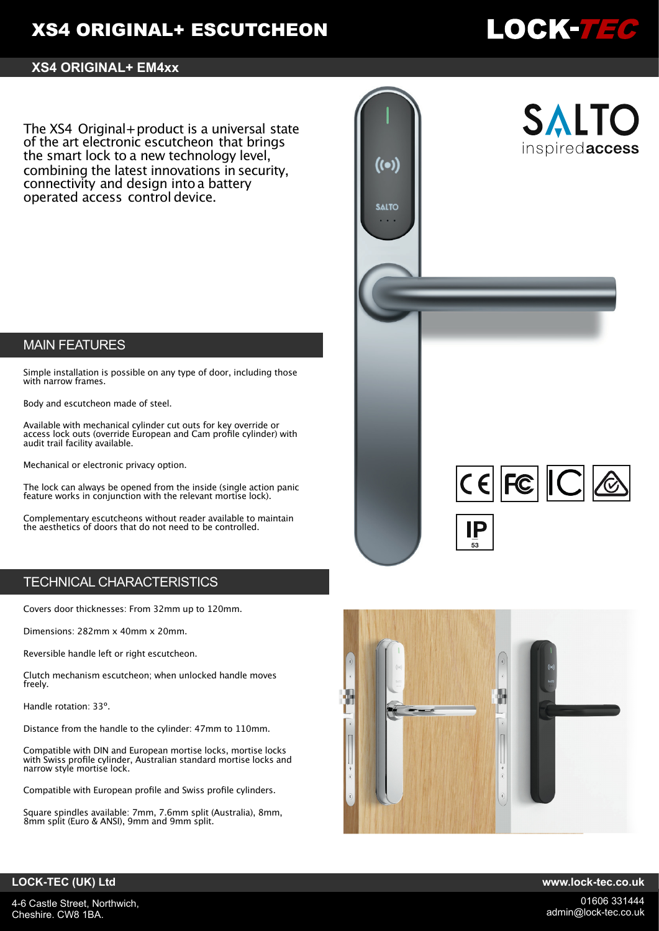# **XS4 ORIGINAL+ ESCUTCHEON**

# .0CK-7*36*

### **XS4 ORIGINAL+ EM4xx**

The XS4 Original+product is a universal state of the art electronic escutcheon that brings the smart lock to a new technology level, combining the latest innovations in security, connectivity and design intoa battery operated access control device.

# MAIN FEATURES

Simple installation is possible on any type of door, including those with narrow frames.

Body and escutcheon made of steel.

Available with mechanical cylinder cut outs for key override or access lock outs (override European and Cam profile cylinder) with audit trail facility available.

Mechanical or electronic privacy option.

The lock can always be opened from the inside (single action panic feature works in conjunction with the relevant mortise lock).

Complementary escutcheons without reader available to maintain the aesthetics of doors that do not need to be controlled.

# TECHNICAL CHARACTERISTICS

Covers door thicknesses: From 32mm up to 120mm.

Dimensions: 282mm x 40mm x 20mm.

Reversible handle left or right escutcheon.

Clutch mechanism escutcheon; when unlocked handle moves freely.

Handle rotation: 33º.

Distance from the handle to the cylinder: 47mm to 110mm.

Compatible with DIN and European mortise locks, mortise locks with Swiss profile cylinder, Australian standard mortise locks and narrow style mortise lock.

Compatible with European profile and Swiss profile cylinders.

Square spindles available: 7mm, 7.6mm split (Australia), 8mm, 8mm split (Euro & ANSI), 9mm and 9mm split.





### **LOCK-TEC (UK) Ltd www.lock-tec.co.uk**

4-6 Castle Street, Northwich, Cheshire. CW8 1BA.

01606 331444 admin@lock-tec.co.uk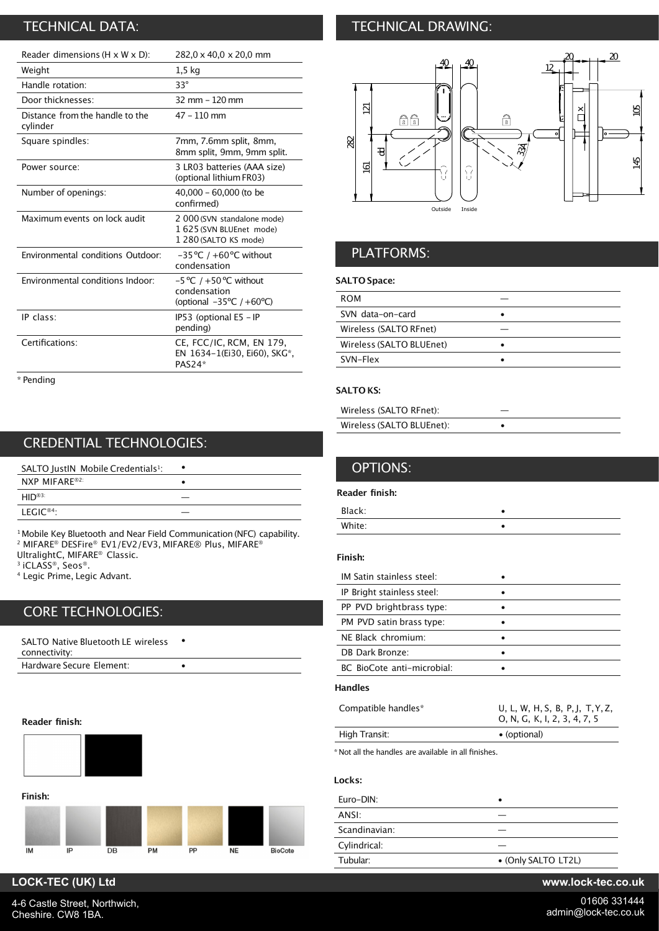# TECHNICAL DATA:

| Reader dimensions (H x W x D):              | 282,0 x 40,0 x 20,0 mm                                                                      |
|---------------------------------------------|---------------------------------------------------------------------------------------------|
| Weight                                      | 1,5 kg                                                                                      |
| Handle rotation:                            | $33^\circ$                                                                                  |
| Door thicknesses:                           | $32 \, \text{mm} - 120 \, \text{mm}$                                                        |
| Distance from the handle to the<br>cylinder | $47 - 110$ mm                                                                               |
| Square spindles:                            | 7mm, 7.6mm split, 8mm,<br>8mm split, 9mm, 9mm split.                                        |
| Power source:                               | 3 LR03 batteries (AAA size)<br>(optional lithium FR03)                                      |
| Number of openings:                         | 40,000 - 60,000 (to be<br>confirmed)                                                        |
| Maximum events on lock audit                | 2 000 (SVN standalone mode)<br>1 625 (SVN BLUEnet mode)<br>1 280 (SALTO KS mode)            |
| Environmental conditions Outdoor:           | $-35^{\circ}$ C / +60 $^{\circ}$ C without<br>condensation                                  |
| Environmental conditions Indoor:            | $-5$ °C / $+50$ °C without<br>condensation<br>(optional $-35^{\circ}$ C / +60 $^{\circ}$ C) |
| IP class:                                   | IP53 (optional E5 - IP<br>pending)                                                          |
| Certifications:                             | CE, FCC/IC, RCM, EN 179,<br>EN 1634-1(Ei30, Ei60), SKG*,<br>PAS24*                          |
|                                             |                                                                                             |

\* Pending

# CREDENTIAL TECHNOLOGIES:

| SALTO JustIN Mobile Credentials <sup>1</sup> : |  |
|------------------------------------------------|--|
| <b>NXP MIFARE®2:</b>                           |  |
| $HID^{\circledR3}$                             |  |
| $LFGIC^{\otimes 4}$                            |  |

<sup>1</sup> Mobile Key Bluetooth and Near Field Communication (NFC) capability. <sup>2</sup> MIFARE® DESFire® EV1/EV2/EV3, MIFARE® Plus, MIFARE® UltralightC, MIFARE® Classic.

3 iCLASS®, Seos®.

<sup>4</sup> Legic Prime, Legic Advant.

# CORE TECHNOLOGIES:

| SALTO Native Bluetooth LE wireless<br>connectivity: |  |
|-----------------------------------------------------|--|
| Hardware Secure Element:                            |  |

#### **Reader finish:**



# TECHNICAL DRAWING:



# PLATFORMS:

#### **SALTO Space:**

| <b>ROM</b>               |  |
|--------------------------|--|
| SVN data-on-card         |  |
| Wireless (SALTO RFnet)   |  |
| Wireless (SALTO BLUEnet) |  |
| SVN-Flex                 |  |
|                          |  |

#### **SALTO KS:**

| Wireless (SALTO RFnet):   |  |
|---------------------------|--|
| Wireless (SALTO BLUEnet): |  |

| <b>OPTIONS:</b>           |  |
|---------------------------|--|
| Reader finish:            |  |
| Black:                    |  |
| White:                    |  |
| Finish:                   |  |
| IM Satin stainless steel: |  |
|                           |  |

| IP Bright stainless steel: |  |
|----------------------------|--|
| PP PVD brightbrass type:   |  |
| PM PVD satin brass type:   |  |
| NE Black chromium:         |  |
| DB Dark Bronze:            |  |
| BC BioCote anti-microbial: |  |
|                            |  |

### **Handles**

| Compatible handles* | U, L, W, H, S, B, P, J, T, Y, Z,<br>O, N, G, K, I, 2, 3, 4, 7, 5 |
|---------------------|------------------------------------------------------------------|
| High Transit:       | • (optional)                                                     |
|                     |                                                                  |

\* Not all the handles are available in all finishes.

### **Locks:**

| Euro-DIN:     |                     |
|---------------|---------------------|
| ANSI:         |                     |
| Scandinavian: |                     |
| Cylindrical:  |                     |
| Tubular:      | • (Only SALTO LT2L) |

# **LOCK-TEC (UK) Ltd www.lock-tec.co.uk**

4-6 Castle Street, Northwich, Cheshire. CW8 1BA.